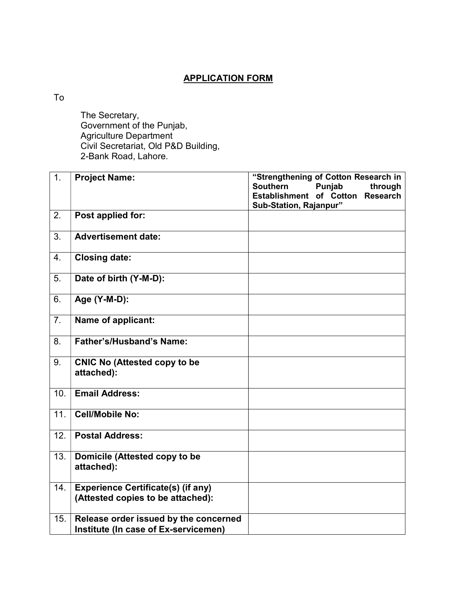## APPLICATION FORM

To

 The Secretary, Government of the Punjab, Agriculture Department Civil Secretariat, Old P&D Building, 2-Bank Road, Lahore.

| 1.               | <b>Project Name:</b>                                                           | "Strengthening of Cotton Research in<br><b>Southern</b><br>Punjab<br>through |  |  |  |
|------------------|--------------------------------------------------------------------------------|------------------------------------------------------------------------------|--|--|--|
|                  |                                                                                | Establishment of Cotton Research<br>Sub-Station, Rajanpur"                   |  |  |  |
| 2.               | Post applied for:                                                              |                                                                              |  |  |  |
| 3.               | <b>Advertisement date:</b>                                                     |                                                                              |  |  |  |
| $\overline{4}$ . | <b>Closing date:</b>                                                           |                                                                              |  |  |  |
| 5.               | Date of birth (Y-M-D):                                                         |                                                                              |  |  |  |
| 6.               | Age (Y-M-D):                                                                   |                                                                              |  |  |  |
| 7.               | Name of applicant:                                                             |                                                                              |  |  |  |
| 8.               | <b>Father's/Husband's Name:</b>                                                |                                                                              |  |  |  |
| 9.               | <b>CNIC No (Attested copy to be</b><br>attached):                              |                                                                              |  |  |  |
| 10.              | <b>Email Address:</b>                                                          |                                                                              |  |  |  |
| 11.              | <b>Cell/Mobile No:</b>                                                         |                                                                              |  |  |  |
| 12.              | <b>Postal Address:</b>                                                         |                                                                              |  |  |  |
| 13.              | Domicile (Attested copy to be<br>attached):                                    |                                                                              |  |  |  |
| 14.              | <b>Experience Certificate(s) (if any)</b><br>(Attested copies to be attached): |                                                                              |  |  |  |
| 15.              | Release order issued by the concerned<br>Institute (In case of Ex-servicemen)  |                                                                              |  |  |  |